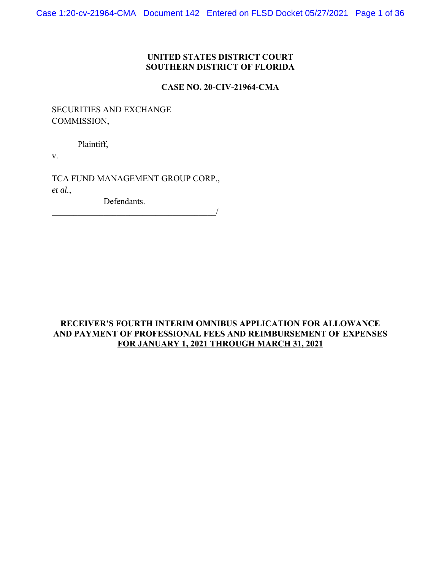## **UNITED STATES DISTRICT COURT SOUTHERN DISTRICT OF FLORIDA**

### **CASE NO. 20-CIV-21964-CMA**

SECURITIES AND EXCHANGE COMMISSION,

Plaintiff,

v.

TCA FUND MANAGEMENT GROUP CORP., *et al.*,

Defendants.

 $\overline{\phantom{a}}$ 

# **RECEIVER'S FOURTH INTERIM OMNIBUS APPLICATION FOR ALLOWANCE AND PAYMENT OF PROFESSIONAL FEES AND REIMBURSEMENT OF EXPENSES FOR JANUARY 1, 2021 THROUGH MARCH 31, 2021**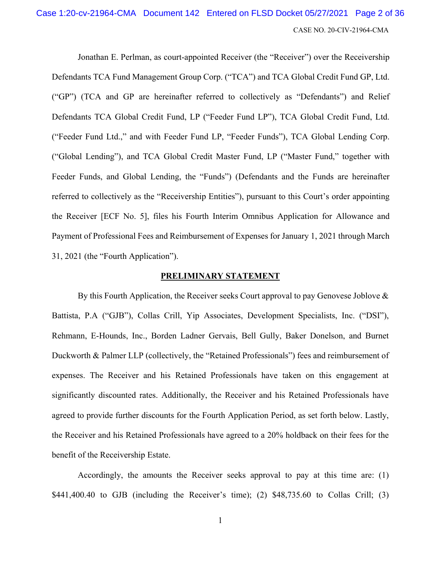# CASE NO. 20-CIV-21964-CMA Case 1:20-cv-21964-CMA Document 142 Entered on FLSD Docket 05/27/2021 Page 2 of 36

Jonathan E. Perlman, as court-appointed Receiver (the "Receiver") over the Receivership Defendants TCA Fund Management Group Corp. ("TCA") and TCA Global Credit Fund GP, Ltd. ("GP") (TCA and GP are hereinafter referred to collectively as "Defendants") and Relief Defendants TCA Global Credit Fund, LP ("Feeder Fund LP"), TCA Global Credit Fund, Ltd. ("Feeder Fund Ltd.," and with Feeder Fund LP, "Feeder Funds"), TCA Global Lending Corp. ("Global Lending"), and TCA Global Credit Master Fund, LP ("Master Fund," together with Feeder Funds, and Global Lending, the "Funds") (Defendants and the Funds are hereinafter referred to collectively as the "Receivership Entities"), pursuant to this Court's order appointing the Receiver [ECF No. 5], files his Fourth Interim Omnibus Application for Allowance and Payment of Professional Fees and Reimbursement of Expenses for January 1, 2021 through March 31, 2021 (the "Fourth Application").

### **PRELIMINARY STATEMENT**

By this Fourth Application, the Receiver seeks Court approval to pay Genovese Joblove  $\&$ Battista, P.A ("GJB"), Collas Crill, Yip Associates, Development Specialists, Inc. ("DSI"), Rehmann, E-Hounds, Inc., Borden Ladner Gervais, Bell Gully, Baker Donelson, and Burnet Duckworth & Palmer LLP (collectively, the "Retained Professionals") fees and reimbursement of expenses. The Receiver and his Retained Professionals have taken on this engagement at significantly discounted rates. Additionally, the Receiver and his Retained Professionals have agreed to provide further discounts for the Fourth Application Period, as set forth below. Lastly, the Receiver and his Retained Professionals have agreed to a 20% holdback on their fees for the benefit of the Receivership Estate.

Accordingly, the amounts the Receiver seeks approval to pay at this time are: (1) \$441,400.40 to GJB (including the Receiver's time); (2) \$48,735.60 to Collas Crill; (3)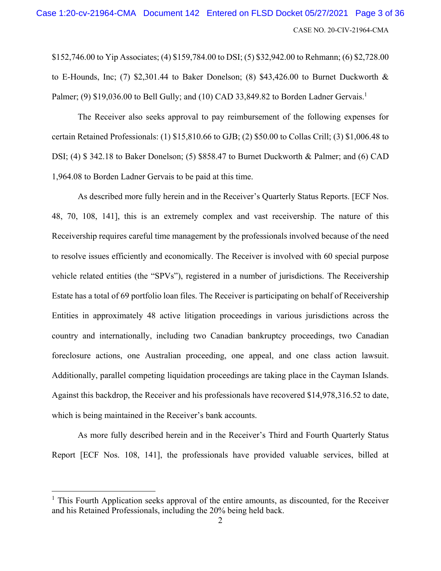# CASE NO. 20-CIV-21964-CMA Case 1:20-cv-21964-CMA Document 142 Entered on FLSD Docket 05/27/2021 Page 3 of 36

\$152,746.00 to Yip Associates; (4) \$159,784.00 to DSI; (5) \$32,942.00 to Rehmann; (6) \$2,728.00 to E-Hounds, Inc; (7)  $$2,301.44$  to Baker Donelson; (8)  $$43,426.00$  to Burnet Duckworth & Palmer; (9) \$19,036.00 to Bell Gully; and (10) CAD 33,849.82 to Borden Ladner Gervais.<sup>1</sup>

The Receiver also seeks approval to pay reimbursement of the following expenses for certain Retained Professionals: (1) \$15,810.66 to GJB; (2) \$50.00 to Collas Crill; (3) \$1,006.48 to DSI; (4) \$ 342.18 to Baker Donelson; (5) \$858.47 to Burnet Duckworth & Palmer; and (6) CAD 1,964.08 to Borden Ladner Gervais to be paid at this time.

As described more fully herein and in the Receiver's Quarterly Status Reports. [ECF Nos. 48, 70, 108, 141], this is an extremely complex and vast receivership. The nature of this Receivership requires careful time management by the professionals involved because of the need to resolve issues efficiently and economically. The Receiver is involved with 60 special purpose vehicle related entities (the "SPVs"), registered in a number of jurisdictions. The Receivership Estate has a total of 69 portfolio loan files. The Receiver is participating on behalf of Receivership Entities in approximately 48 active litigation proceedings in various jurisdictions across the country and internationally, including two Canadian bankruptcy proceedings, two Canadian foreclosure actions, one Australian proceeding, one appeal, and one class action lawsuit. Additionally, parallel competing liquidation proceedings are taking place in the Cayman Islands. Against this backdrop, the Receiver and his professionals have recovered \$14,978,316.52 to date, which is being maintained in the Receiver's bank accounts.

As more fully described herein and in the Receiver's Third and Fourth Quarterly Status Report [ECF Nos. 108, 141], the professionals have provided valuable services, billed at

<u>.</u>

<sup>&</sup>lt;sup>1</sup> This Fourth Application seeks approval of the entire amounts, as discounted, for the Receiver and his Retained Professionals, including the 20% being held back.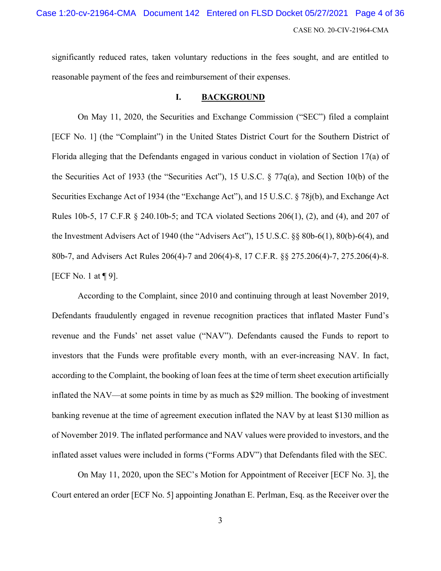# CASE NO. 20-CIV-21964-CMA Case 1:20-cv-21964-CMA Document 142 Entered on FLSD Docket 05/27/2021 Page 4 of 36

significantly reduced rates, taken voluntary reductions in the fees sought, and are entitled to reasonable payment of the fees and reimbursement of their expenses.

### **I. BACKGROUND**

On May 11, 2020, the Securities and Exchange Commission ("SEC") filed a complaint [ECF No. 1] (the "Complaint") in the United States District Court for the Southern District of Florida alleging that the Defendants engaged in various conduct in violation of Section 17(a) of the Securities Act of 1933 (the "Securities Act"), 15 U.S.C. § 77q(a), and Section 10(b) of the Securities Exchange Act of 1934 (the "Exchange Act"), and 15 U.S.C. § 78j(b), and Exchange Act Rules 10b-5, 17 C.F.R § 240.10b-5; and TCA violated Sections 206(1), (2), and (4), and 207 of the Investment Advisers Act of 1940 (the "Advisers Act"), 15 U.S.C. §§ 80b-6(1), 80(b)-6(4), and 80b-7, and Advisers Act Rules 206(4)-7 and 206(4)-8, 17 C.F.R. §§ 275.206(4)-7, 275.206(4)-8. [ECF No. 1 at ¶ 9].

According to the Complaint, since 2010 and continuing through at least November 2019, Defendants fraudulently engaged in revenue recognition practices that inflated Master Fund's revenue and the Funds' net asset value ("NAV"). Defendants caused the Funds to report to investors that the Funds were profitable every month, with an ever-increasing NAV. In fact, according to the Complaint, the booking of loan fees at the time of term sheet execution artificially inflated the NAV—at some points in time by as much as \$29 million. The booking of investment banking revenue at the time of agreement execution inflated the NAV by at least \$130 million as of November 2019. The inflated performance and NAV values were provided to investors, and the inflated asset values were included in forms ("Forms ADV") that Defendants filed with the SEC.

On May 11, 2020, upon the SEC's Motion for Appointment of Receiver [ECF No. 3], the Court entered an order [ECF No. 5] appointing Jonathan E. Perlman, Esq. as the Receiver over the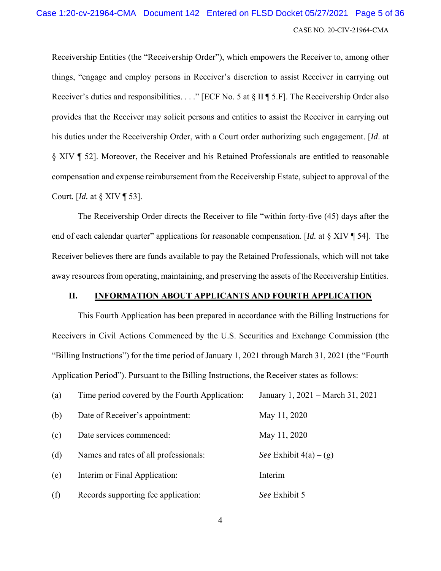# CASE NO. 20-CIV-21964-CMA Case 1:20-cv-21964-CMA Document 142 Entered on FLSD Docket 05/27/2021 Page 5 of 36

Receivership Entities (the "Receivership Order"), which empowers the Receiver to, among other things, "engage and employ persons in Receiver's discretion to assist Receiver in carrying out Receiver's duties and responsibilities. . . ." [ECF No. 5 at § II ¶ 5.F]. The Receivership Order also provides that the Receiver may solicit persons and entities to assist the Receiver in carrying out his duties under the Receivership Order, with a Court order authorizing such engagement. [*Id*. at § XIV ¶ 52]. Moreover, the Receiver and his Retained Professionals are entitled to reasonable compensation and expense reimbursement from the Receivership Estate, subject to approval of the Court. [*Id.* at § XIV ¶ 53].

The Receivership Order directs the Receiver to file "within forty-five (45) days after the end of each calendar quarter" applications for reasonable compensation. [*Id.* at § XIV ¶ 54]. The Receiver believes there are funds available to pay the Retained Professionals, which will not take away resources from operating, maintaining, and preserving the assets of the Receivership Entities.

### **II. INFORMATION ABOUT APPLICANTS AND FOURTH APPLICATION**

This Fourth Application has been prepared in accordance with the Billing Instructions for Receivers in Civil Actions Commenced by the U.S. Securities and Exchange Commission (the "Billing Instructions") for the time period of January 1, 2021 through March 31, 2021 (the "Fourth Application Period"). Pursuant to the Billing Instructions, the Receiver states as follows:

| (a) | Time period covered by the Fourth Application: | January 1, 2021 – March 31, 2021 |
|-----|------------------------------------------------|----------------------------------|
| (b) | Date of Receiver's appointment:                | May 11, 2020                     |
| (c) | Date services commenced:                       | May 11, 2020                     |
| (d) | Names and rates of all professionals:          | See Exhibit $4(a) - (g)$         |
| (e) | Interim or Final Application:                  | Interim                          |
| (f) | Records supporting fee application:            | See Exhibit 5                    |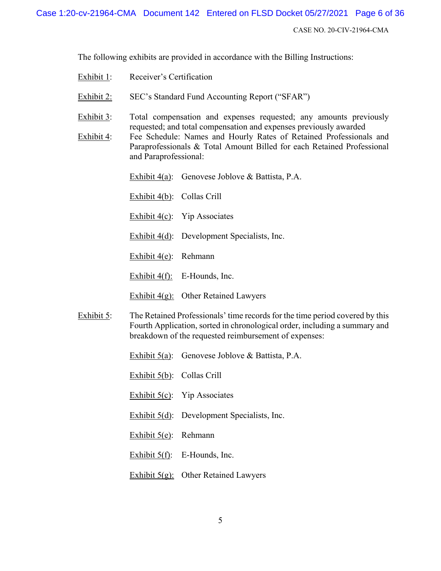The following exhibits are provided in accordance with the Billing Instructions:

- Exhibit 1: Receiver's Certification
- Exhibit 2: SEC's Standard Fund Accounting Report ("SFAR")
- Exhibit 3: Total compensation and expenses requested; any amounts previously requested; and total compensation and expenses previously awarded
- Exhibit 4: Fee Schedule: Names and Hourly Rates of Retained Professionals and Paraprofessionals & Total Amount Billed for each Retained Professional and Paraprofessional:

Exhibit 4(a): Genovese Joblove & Battista, P.A.

Exhibit 4(b): Collas Crill

- Exhibit 4(c): Yip Associates
- Exhibit 4(d): Development Specialists, Inc.
- Exhibit 4(e): Rehmann
- Exhibit  $4(f)$ : E-Hounds, Inc.

Exhibit 4(g): Other Retained Lawyers

- Exhibit 5: The Retained Professionals' time records for the time period covered by this Fourth Application, sorted in chronological order, including a summary and breakdown of the requested reimbursement of expenses:
	- Exhibit 5(a): Genovese Joblove & Battista, P.A.
	- Exhibit 5(b): Collas Crill
	- Exhibit  $5(c)$ : Yip Associates
	- Exhibit 5(d): Development Specialists, Inc.
	- Exhibit 5(e): Rehmann
	- Exhibit  $5(f)$ : E-Hounds, Inc.
	- Exhibit  $5(g)$ : Other Retained Lawyers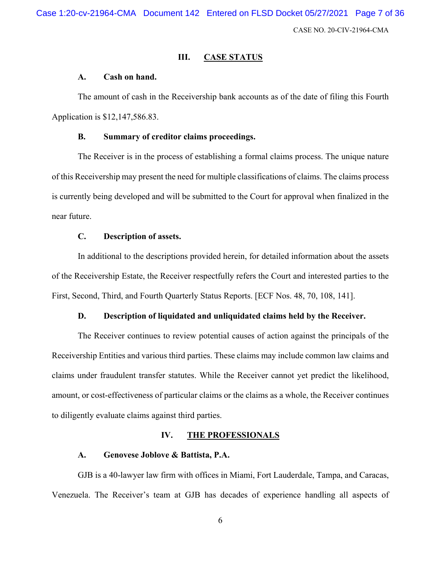CASE NO. 20-CIV-21964-CMA Case 1:20-cv-21964-CMA Document 142 Entered on FLSD Docket 05/27/2021 Page 7 of 36

### **III. CASE STATUS**

#### **A. Cash on hand.**

The amount of cash in the Receivership bank accounts as of the date of filing this Fourth Application is \$12,147,586.83.

### **B. Summary of creditor claims proceedings.**

The Receiver is in the process of establishing a formal claims process. The unique nature of this Receivership may present the need for multiple classifications of claims. The claims process is currently being developed and will be submitted to the Court for approval when finalized in the near future.

## **C. Description of assets.**

In additional to the descriptions provided herein, for detailed information about the assets of the Receivership Estate, the Receiver respectfully refers the Court and interested parties to the First, Second, Third, and Fourth Quarterly Status Reports. [ECF Nos. 48, 70, 108, 141].

### **D. Description of liquidated and unliquidated claims held by the Receiver.**

The Receiver continues to review potential causes of action against the principals of the Receivership Entities and various third parties. These claims may include common law claims and claims under fraudulent transfer statutes. While the Receiver cannot yet predict the likelihood, amount, or cost-effectiveness of particular claims or the claims as a whole, the Receiver continues to diligently evaluate claims against third parties.

# **IV. THE PROFESSIONALS**

#### **A. Genovese Joblove & Battista, P.A.**

GJB is a 40-lawyer law firm with offices in Miami, Fort Lauderdale, Tampa, and Caracas, Venezuela. The Receiver's team at GJB has decades of experience handling all aspects of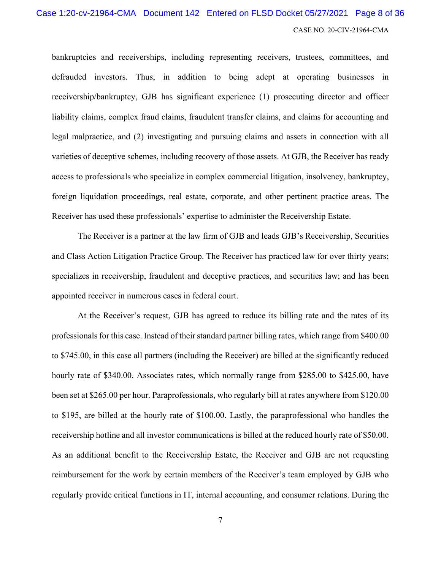# CASE NO. 20-CIV-21964-CMA Case 1:20-cv-21964-CMA Document 142 Entered on FLSD Docket 05/27/2021 Page 8 of 36

bankruptcies and receiverships, including representing receivers, trustees, committees, and defrauded investors. Thus, in addition to being adept at operating businesses in receivership/bankruptcy, GJB has significant experience (1) prosecuting director and officer liability claims, complex fraud claims, fraudulent transfer claims, and claims for accounting and legal malpractice, and (2) investigating and pursuing claims and assets in connection with all varieties of deceptive schemes, including recovery of those assets. At GJB, the Receiver has ready access to professionals who specialize in complex commercial litigation, insolvency, bankruptcy, foreign liquidation proceedings, real estate, corporate, and other pertinent practice areas. The Receiver has used these professionals' expertise to administer the Receivership Estate.

The Receiver is a partner at the law firm of GJB and leads GJB's Receivership, Securities and Class Action Litigation Practice Group. The Receiver has practiced law for over thirty years; specializes in receivership, fraudulent and deceptive practices, and securities law; and has been appointed receiver in numerous cases in federal court.

At the Receiver's request, GJB has agreed to reduce its billing rate and the rates of its professionals for this case. Instead of their standard partner billing rates, which range from \$400.00 to \$745.00, in this case all partners (including the Receiver) are billed at the significantly reduced hourly rate of \$340.00. Associates rates, which normally range from \$285.00 to \$425.00, have been set at \$265.00 per hour. Paraprofessionals, who regularly bill at rates anywhere from \$120.00 to \$195, are billed at the hourly rate of \$100.00. Lastly, the paraprofessional who handles the receivership hotline and all investor communications is billed at the reduced hourly rate of \$50.00. As an additional benefit to the Receivership Estate, the Receiver and GJB are not requesting reimbursement for the work by certain members of the Receiver's team employed by GJB who regularly provide critical functions in IT, internal accounting, and consumer relations. During the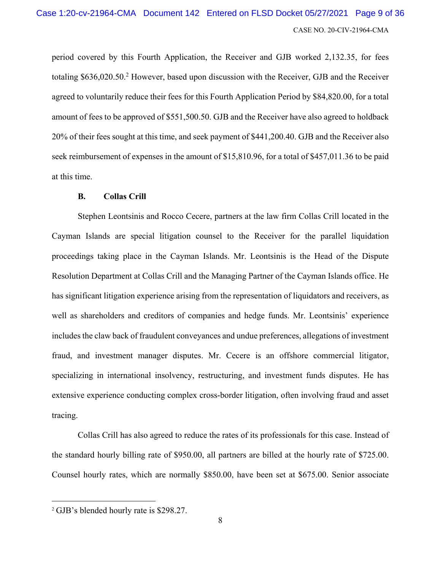period covered by this Fourth Application, the Receiver and GJB worked 2,132.35, for fees totaling \$636,020.50.<sup>2</sup> However, based upon discussion with the Receiver, GJB and the Receiver agreed to voluntarily reduce their fees for this Fourth Application Period by \$84,820.00, for a total amount of fees to be approved of \$551,500.50. GJB and the Receiver have also agreed to holdback 20% of their fees sought at this time, and seek payment of \$441,200.40. GJB and the Receiver also seek reimbursement of expenses in the amount of \$15,810.96, for a total of \$457,011.36 to be paid at this time.

#### **B. Collas Crill**

Stephen Leontsinis and Rocco Cecere, partners at the law firm Collas Crill located in the Cayman Islands are special litigation counsel to the Receiver for the parallel liquidation proceedings taking place in the Cayman Islands. Mr. Leontsinis is the Head of the Dispute Resolution Department at Collas Crill and the Managing Partner of the Cayman Islands office. He has significant litigation experience arising from the representation of liquidators and receivers, as well as shareholders and creditors of companies and hedge funds. Mr. Leontsinis' experience includes the claw back of fraudulent conveyances and undue preferences, allegations of investment fraud, and investment manager disputes. Mr. Cecere is an offshore commercial litigator, specializing in international insolvency, restructuring, and investment funds disputes. He has extensive experience conducting complex cross-border litigation, often involving fraud and asset tracing.

Collas Crill has also agreed to reduce the rates of its professionals for this case. Instead of the standard hourly billing rate of \$950.00, all partners are billed at the hourly rate of \$725.00. Counsel hourly rates, which are normally \$850.00, have been set at \$675.00. Senior associate

1

<sup>2</sup> GJB's blended hourly rate is \$298.27.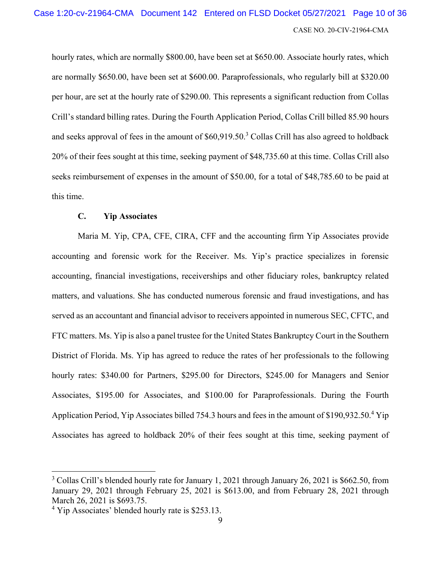# CASE NO. 20-CIV-21964-CMA Case 1:20-cv-21964-CMA Document 142 Entered on FLSD Docket 05/27/2021 Page 10 of 36

hourly rates, which are normally \$800.00, have been set at \$650.00. Associate hourly rates, which are normally \$650.00, have been set at \$600.00. Paraprofessionals, who regularly bill at \$320.00 per hour, are set at the hourly rate of \$290.00. This represents a significant reduction from Collas Crill's standard billing rates. During the Fourth Application Period, Collas Crill billed 85.90 hours and seeks approval of fees in the amount of \$60,919.50.<sup>3</sup> Collas Crill has also agreed to holdback 20% of their fees sought at this time, seeking payment of \$48,735.60 at this time. Collas Crill also seeks reimbursement of expenses in the amount of \$50.00, for a total of \$48,785.60 to be paid at this time.

### **C. Yip Associates**

Maria M. Yip, CPA, CFE, CIRA, CFF and the accounting firm Yip Associates provide accounting and forensic work for the Receiver. Ms. Yip's practice specializes in forensic accounting, financial investigations, receiverships and other fiduciary roles, bankruptcy related matters, and valuations. She has conducted numerous forensic and fraud investigations, and has served as an accountant and financial advisor to receivers appointed in numerous SEC, CFTC, and FTC matters. Ms. Yip is also a panel trustee for the United States Bankruptcy Court in the Southern District of Florida. Ms. Yip has agreed to reduce the rates of her professionals to the following hourly rates: \$340.00 for Partners, \$295.00 for Directors, \$245.00 for Managers and Senior Associates, \$195.00 for Associates, and \$100.00 for Paraprofessionals. During the Fourth Application Period, Yip Associates billed 754.3 hours and fees in the amount of \$190,932.50.<sup>4</sup> Yip Associates has agreed to holdback 20% of their fees sought at this time, seeking payment of

1

<sup>&</sup>lt;sup>3</sup> Collas Crill's blended hourly rate for January 1, 2021 through January 26, 2021 is \$662.50, from January 29, 2021 through February 25, 2021 is \$613.00, and from February 28, 2021 through March 26, 2021 is \$693.75.

<sup>&</sup>lt;sup>4</sup> Yip Associates' blended hourly rate is \$253.13.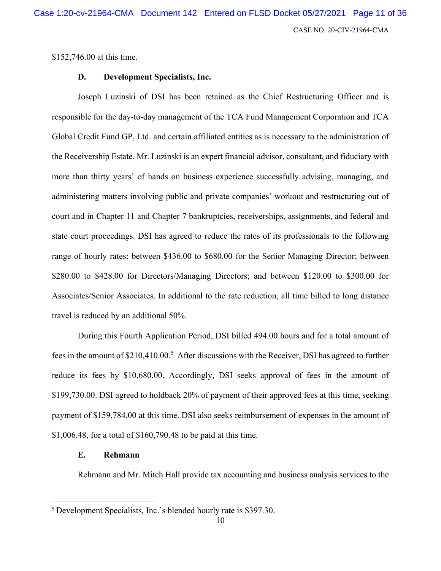\$152,746.00 at this time.

### **D. Development Specialists, Inc.**

Joseph Luzinski of DSI has been retained as the Chief Restructuring Officer and is responsible for the day-to-day management of the TCA Fund Management Corporation and TCA Global Credit Fund GP, Ltd. and certain affiliated entities as is necessary to the administration of the Receivership Estate. Mr. Luzinski is an expert financial advisor, consultant, and fiduciary with more than thirty years' of hands on business experience successfully advising, managing, and administering matters involving public and private companies' workout and restructuring out of court and in Chapter 11 and Chapter 7 bankruptcies, receiverships, assignments, and federal and state court proceedings. DSI has agreed to reduce the rates of its professionals to the following range of hourly rates: between \$436.00 to \$680.00 for the Senior Managing Director; between \$280.00 to \$428.00 for Directors/Managing Directors; and between \$120.00 to \$300.00 for Associates/Senior Associates. In additional to the rate reduction, all time billed to long distance travel is reduced by an additional 50%.

During this Fourth Application Period, DSI billed 494.00 hours and for a total amount of fees in the amount of  $$210,410.00$ .<sup>5</sup> After discussions with the Receiver, DSI has agreed to further reduce its fees by \$10,680.00. Accordingly, DSI seeks approval of fees in the amount of \$199,730.00. DSI agreed to holdback 20% of payment of their approved fees at this time, seeking payment of \$159,784.00 at this time. DSI also seeks reimbursement of expenses in the amount of \$1,006.48, for a total of \$160,790.48 to be paid at this time.

### **E. Rehmann**

 $\overline{a}$ 

Rehmann and Mr. Mitch Hall provide tax accounting and business analysis services to the

<sup>5</sup> Development Specialists, Inc.'s blended hourly rate is \$397.30.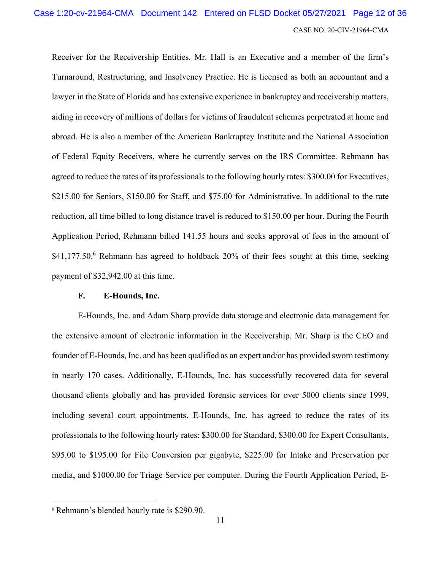# CASE NO. 20-CIV-21964-CMA Case 1:20-cv-21964-CMA Document 142 Entered on FLSD Docket 05/27/2021 Page 12 of 36

Receiver for the Receivership Entities. Mr. Hall is an Executive and a member of the firm's Turnaround, Restructuring, and Insolvency Practice. He is licensed as both an accountant and a lawyer in the State of Florida and has extensive experience in bankruptcy and receivership matters, aiding in recovery of millions of dollars for victims of fraudulent schemes perpetrated at home and abroad. He is also a member of the American Bankruptcy Institute and the National Association of Federal Equity Receivers, where he currently serves on the IRS Committee. Rehmann has agreed to reduce the rates of its professionals to the following hourly rates: \$300.00 for Executives, \$215.00 for Seniors, \$150.00 for Staff, and \$75.00 for Administrative. In additional to the rate reduction, all time billed to long distance travel is reduced to \$150.00 per hour. During the Fourth Application Period, Rehmann billed 141.55 hours and seeks approval of fees in the amount of \$41,177.50.<sup>6</sup> Rehmann has agreed to holdback 20% of their fees sought at this time, seeking payment of \$32,942.00 at this time.

#### **F. E-Hounds, Inc.**

E-Hounds, Inc. and Adam Sharp provide data storage and electronic data management for the extensive amount of electronic information in the Receivership. Mr. Sharp is the CEO and founder of E-Hounds, Inc. and has been qualified as an expert and/or has provided sworn testimony in nearly 170 cases. Additionally, E-Hounds, Inc. has successfully recovered data for several thousand clients globally and has provided forensic services for over 5000 clients since 1999, including several court appointments. E-Hounds, Inc. has agreed to reduce the rates of its professionals to the following hourly rates: \$300.00 for Standard, \$300.00 for Expert Consultants, \$95.00 to \$195.00 for File Conversion per gigabyte, \$225.00 for Intake and Preservation per media, and \$1000.00 for Triage Service per computer. During the Fourth Application Period, E-

 $\overline{a}$ 

<sup>6</sup> Rehmann's blended hourly rate is \$290.90.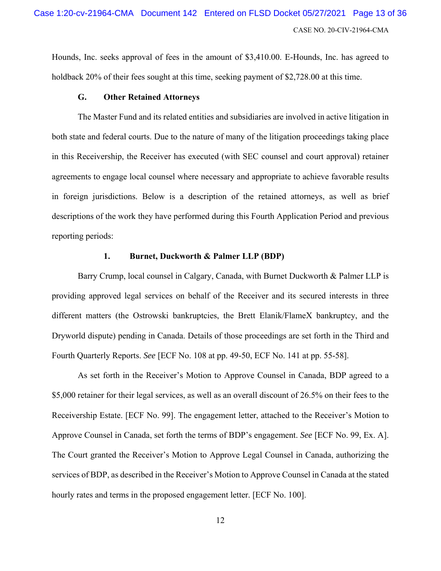Hounds, Inc. seeks approval of fees in the amount of \$3,410.00. E-Hounds, Inc. has agreed to holdback 20% of their fees sought at this time, seeking payment of \$2,728.00 at this time.

### **G. Other Retained Attorneys**

The Master Fund and its related entities and subsidiaries are involved in active litigation in both state and federal courts. Due to the nature of many of the litigation proceedings taking place in this Receivership, the Receiver has executed (with SEC counsel and court approval) retainer agreements to engage local counsel where necessary and appropriate to achieve favorable results in foreign jurisdictions. Below is a description of the retained attorneys, as well as brief descriptions of the work they have performed during this Fourth Application Period and previous reporting periods:

#### **1. Burnet, Duckworth & Palmer LLP (BDP)**

Barry Crump, local counsel in Calgary, Canada, with Burnet Duckworth & Palmer LLP is providing approved legal services on behalf of the Receiver and its secured interests in three different matters (the Ostrowski bankruptcies, the Brett Elanik/FlameX bankruptcy, and the Dryworld dispute) pending in Canada. Details of those proceedings are set forth in the Third and Fourth Quarterly Reports. *See* [ECF No. 108 at pp. 49-50, ECF No. 141 at pp. 55-58].

As set forth in the Receiver's Motion to Approve Counsel in Canada, BDP agreed to a \$5,000 retainer for their legal services, as well as an overall discount of 26.5% on their fees to the Receivership Estate. [ECF No. 99]. The engagement letter, attached to the Receiver's Motion to Approve Counsel in Canada, set forth the terms of BDP's engagement. *See* [ECF No. 99, Ex. A]. The Court granted the Receiver's Motion to Approve Legal Counsel in Canada, authorizing the services of BDP, as described in the Receiver's Motion to Approve Counsel in Canada at the stated hourly rates and terms in the proposed engagement letter. [ECF No. 100].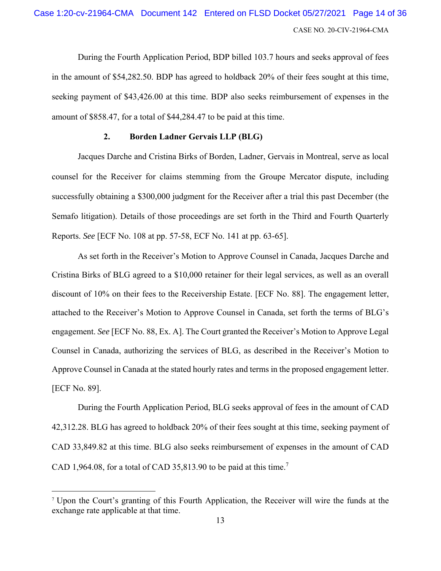# CASE NO. 20-CIV-21964-CMA Case 1:20-cv-21964-CMA Document 142 Entered on FLSD Docket 05/27/2021 Page 14 of 36

During the Fourth Application Period, BDP billed 103.7 hours and seeks approval of fees in the amount of \$54,282.50. BDP has agreed to holdback 20% of their fees sought at this time, seeking payment of \$43,426.00 at this time. BDP also seeks reimbursement of expenses in the amount of \$858.47, for a total of \$44,284.47 to be paid at this time.

### **2. Borden Ladner Gervais LLP (BLG)**

Jacques Darche and Cristina Birks of Borden, Ladner, Gervais in Montreal, serve as local counsel for the Receiver for claims stemming from the Groupe Mercator dispute, including successfully obtaining a \$300,000 judgment for the Receiver after a trial this past December (the Semafo litigation). Details of those proceedings are set forth in the Third and Fourth Quarterly Reports. *See* [ECF No. 108 at pp. 57-58, ECF No. 141 at pp. 63-65].

As set forth in the Receiver's Motion to Approve Counsel in Canada, Jacques Darche and Cristina Birks of BLG agreed to a \$10,000 retainer for their legal services, as well as an overall discount of 10% on their fees to the Receivership Estate. [ECF No. 88]. The engagement letter, attached to the Receiver's Motion to Approve Counsel in Canada, set forth the terms of BLG's engagement. *See* [ECF No. 88, Ex. A]. The Court granted the Receiver's Motion to Approve Legal Counsel in Canada, authorizing the services of BLG, as described in the Receiver's Motion to Approve Counsel in Canada at the stated hourly rates and terms in the proposed engagement letter. [ECF No. 89].

During the Fourth Application Period, BLG seeks approval of fees in the amount of CAD 42,312.28. BLG has agreed to holdback 20% of their fees sought at this time, seeking payment of CAD 33,849.82 at this time. BLG also seeks reimbursement of expenses in the amount of CAD CAD 1,964.08, for a total of CAD 35,813.90 to be paid at this time.<sup>7</sup>

 $\overline{a}$ 

<sup>7</sup> Upon the Court's granting of this Fourth Application, the Receiver will wire the funds at the exchange rate applicable at that time.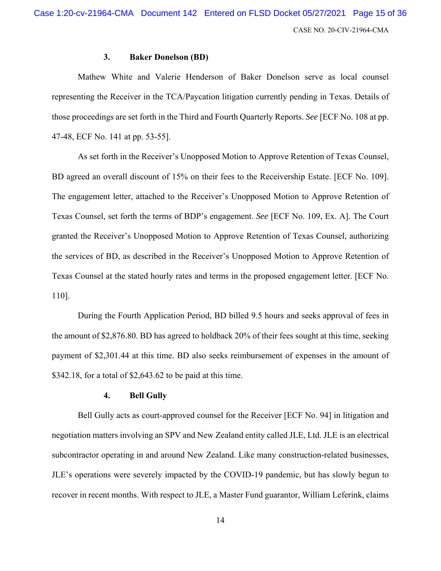### **3. Baker Donelson (BD)**

Mathew White and Valerie Henderson of Baker Donelson serve as local counsel representing the Receiver in the TCA/Paycation litigation currently pending in Texas. Details of those proceedings are set forth in the Third and Fourth Quarterly Reports. *See* [ECF No. 108 at pp. 47-48, ECF No. 141 at pp. 53-55].

As set forth in the Receiver's Unopposed Motion to Approve Retention of Texas Counsel, BD agreed an overall discount of 15% on their fees to the Receivership Estate. [ECF No. 109]. The engagement letter, attached to the Receiver's Unopposed Motion to Approve Retention of Texas Counsel, set forth the terms of BDP's engagement. *See* [ECF No. 109, Ex. A]. The Court granted the Receiver's Unopposed Motion to Approve Retention of Texas Counsel, authorizing the services of BD, as described in the Receiver's Unopposed Motion to Approve Retention of Texas Counsel at the stated hourly rates and terms in the proposed engagement letter. [ECF No. 110].

During the Fourth Application Period, BD billed 9.5 hours and seeks approval of fees in the amount of \$2,876.80. BD has agreed to holdback 20% of their fees sought at this time, seeking payment of \$2,301.44 at this time. BD also seeks reimbursement of expenses in the amount of \$342.18, for a total of \$2,643.62 to be paid at this time.

### **4. Bell Gully**

Bell Gully acts as court-approved counsel for the Receiver [ECF No. 94] in litigation and negotiation matters involving an SPV and New Zealand entity called JLE, Ltd. JLE is an electrical subcontractor operating in and around New Zealand. Like many construction-related businesses, JLE's operations were severely impacted by the COVID-19 pandemic, but has slowly begun to recover in recent months. With respect to JLE, a Master Fund guarantor, William Leferink, claims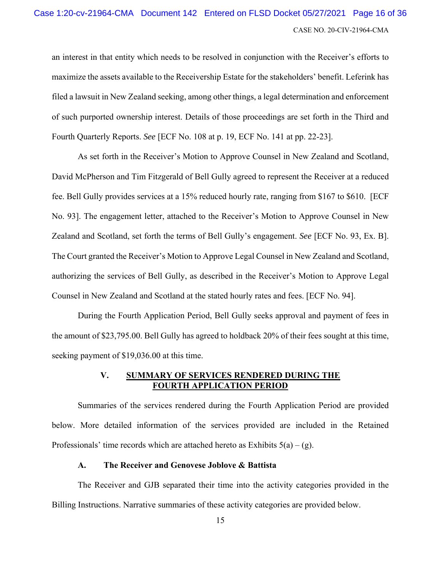# CASE NO. 20-CIV-21964-CMA Case 1:20-cv-21964-CMA Document 142 Entered on FLSD Docket 05/27/2021 Page 16 of 36

an interest in that entity which needs to be resolved in conjunction with the Receiver's efforts to maximize the assets available to the Receivership Estate for the stakeholders' benefit. Leferink has filed a lawsuit in New Zealand seeking, among other things, a legal determination and enforcement of such purported ownership interest. Details of those proceedings are set forth in the Third and Fourth Quarterly Reports. *See* [ECF No. 108 at p. 19, ECF No. 141 at pp. 22-23].

As set forth in the Receiver's Motion to Approve Counsel in New Zealand and Scotland, David McPherson and Tim Fitzgerald of Bell Gully agreed to represent the Receiver at a reduced fee. Bell Gully provides services at a 15% reduced hourly rate, ranging from \$167 to \$610. [ECF No. 93]. The engagement letter, attached to the Receiver's Motion to Approve Counsel in New Zealand and Scotland, set forth the terms of Bell Gully's engagement. *See* [ECF No. 93, Ex. B]. The Court granted the Receiver's Motion to Approve Legal Counsel in New Zealand and Scotland, authorizing the services of Bell Gully, as described in the Receiver's Motion to Approve Legal Counsel in New Zealand and Scotland at the stated hourly rates and fees. [ECF No. 94].

During the Fourth Application Period, Bell Gully seeks approval and payment of fees in the amount of \$23,795.00. Bell Gully has agreed to holdback 20% of their fees sought at this time, seeking payment of \$19,036.00 at this time.

### **V. SUMMARY OF SERVICES RENDERED DURING THE FOURTH APPLICATION PERIOD**

Summaries of the services rendered during the Fourth Application Period are provided below. More detailed information of the services provided are included in the Retained Professionals' time records which are attached hereto as Exhibits  $5(a) - (g)$ .

### **A. The Receiver and Genovese Joblove & Battista**

The Receiver and GJB separated their time into the activity categories provided in the Billing Instructions. Narrative summaries of these activity categories are provided below.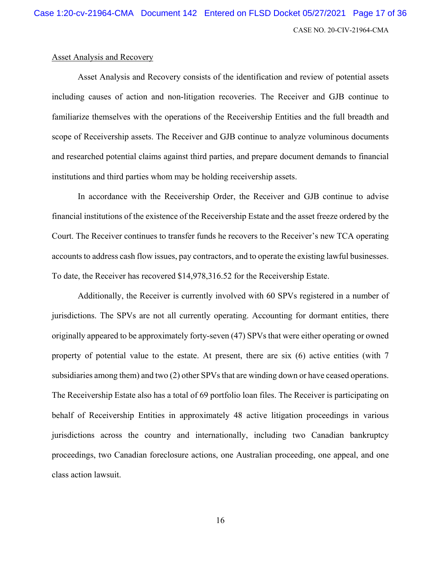### Asset Analysis and Recovery

Asset Analysis and Recovery consists of the identification and review of potential assets including causes of action and non-litigation recoveries. The Receiver and GJB continue to familiarize themselves with the operations of the Receivership Entities and the full breadth and scope of Receivership assets. The Receiver and GJB continue to analyze voluminous documents and researched potential claims against third parties, and prepare document demands to financial institutions and third parties whom may be holding receivership assets.

In accordance with the Receivership Order, the Receiver and GJB continue to advise financial institutions of the existence of the Receivership Estate and the asset freeze ordered by the Court. The Receiver continues to transfer funds he recovers to the Receiver's new TCA operating accounts to address cash flow issues, pay contractors, and to operate the existing lawful businesses. To date, the Receiver has recovered \$14,978,316.52 for the Receivership Estate.

Additionally, the Receiver is currently involved with 60 SPVs registered in a number of jurisdictions. The SPVs are not all currently operating. Accounting for dormant entities, there originally appeared to be approximately forty-seven (47) SPVs that were either operating or owned property of potential value to the estate. At present, there are six (6) active entities (with 7 subsidiaries among them) and two (2) other SPVs that are winding down or have ceased operations. The Receivership Estate also has a total of 69 portfolio loan files. The Receiver is participating on behalf of Receivership Entities in approximately 48 active litigation proceedings in various jurisdictions across the country and internationally, including two Canadian bankruptcy proceedings, two Canadian foreclosure actions, one Australian proceeding, one appeal, and one class action lawsuit.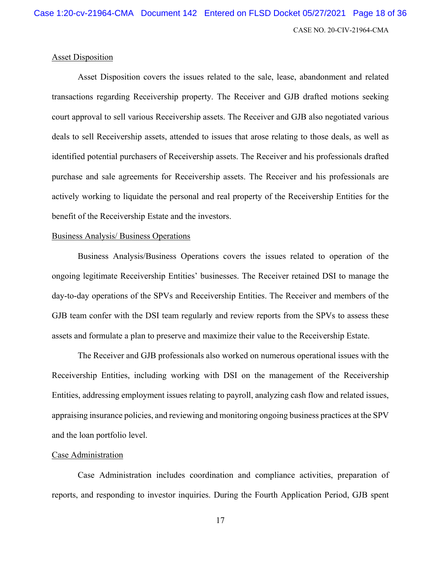### Asset Disposition

 Asset Disposition covers the issues related to the sale, lease, abandonment and related transactions regarding Receivership property. The Receiver and GJB drafted motions seeking court approval to sell various Receivership assets. The Receiver and GJB also negotiated various deals to sell Receivership assets, attended to issues that arose relating to those deals, as well as identified potential purchasers of Receivership assets. The Receiver and his professionals drafted purchase and sale agreements for Receivership assets. The Receiver and his professionals are actively working to liquidate the personal and real property of the Receivership Entities for the benefit of the Receivership Estate and the investors.

### Business Analysis/ Business Operations

Business Analysis/Business Operations covers the issues related to operation of the ongoing legitimate Receivership Entities' businesses. The Receiver retained DSI to manage the day-to-day operations of the SPVs and Receivership Entities. The Receiver and members of the GJB team confer with the DSI team regularly and review reports from the SPVs to assess these assets and formulate a plan to preserve and maximize their value to the Receivership Estate.

The Receiver and GJB professionals also worked on numerous operational issues with the Receivership Entities, including working with DSI on the management of the Receivership Entities, addressing employment issues relating to payroll, analyzing cash flow and related issues, appraising insurance policies, and reviewing and monitoring ongoing business practices at the SPV and the loan portfolio level.

### Case Administration

Case Administration includes coordination and compliance activities, preparation of reports, and responding to investor inquiries. During the Fourth Application Period, GJB spent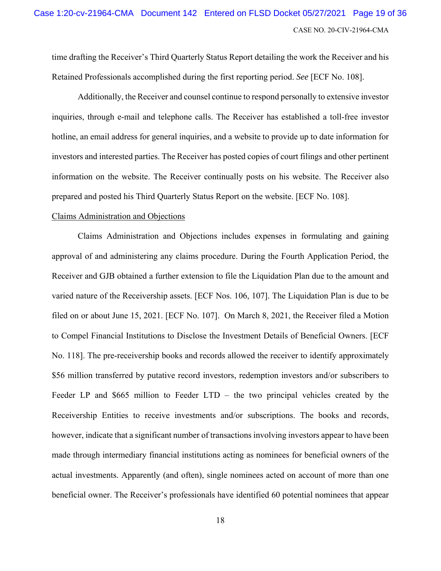# CASE NO. 20-CIV-21964-CMA Case 1:20-cv-21964-CMA Document 142 Entered on FLSD Docket 05/27/2021 Page 19 of 36

time drafting the Receiver's Third Quarterly Status Report detailing the work the Receiver and his Retained Professionals accomplished during the first reporting period. *See* [ECF No. 108].

Additionally, the Receiver and counsel continue to respond personally to extensive investor inquiries, through e-mail and telephone calls. The Receiver has established a toll-free investor hotline, an email address for general inquiries, and a website to provide up to date information for investors and interested parties. The Receiver has posted copies of court filings and other pertinent information on the website. The Receiver continually posts on his website. The Receiver also prepared and posted his Third Quarterly Status Report on the website. [ECF No. 108].

### Claims Administration and Objections

 Claims Administration and Objections includes expenses in formulating and gaining approval of and administering any claims procedure. During the Fourth Application Period, the Receiver and GJB obtained a further extension to file the Liquidation Plan due to the amount and varied nature of the Receivership assets. [ECF Nos. 106, 107]. The Liquidation Plan is due to be filed on or about June 15, 2021. [ECF No. 107]. On March 8, 2021, the Receiver filed a Motion to Compel Financial Institutions to Disclose the Investment Details of Beneficial Owners. [ECF No. 118]. The pre-receivership books and records allowed the receiver to identify approximately \$56 million transferred by putative record investors, redemption investors and/or subscribers to Feeder LP and \$665 million to Feeder LTD – the two principal vehicles created by the Receivership Entities to receive investments and/or subscriptions. The books and records, however, indicate that a significant number of transactions involving investors appear to have been made through intermediary financial institutions acting as nominees for beneficial owners of the actual investments. Apparently (and often), single nominees acted on account of more than one beneficial owner. The Receiver's professionals have identified 60 potential nominees that appear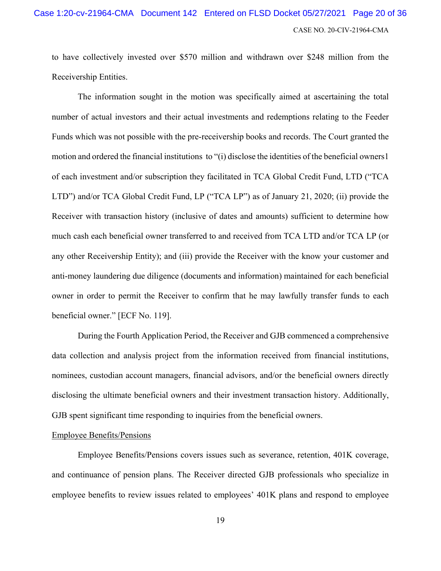# CASE NO. 20-CIV-21964-CMA Case 1:20-cv-21964-CMA Document 142 Entered on FLSD Docket 05/27/2021 Page 20 of 36

to have collectively invested over \$570 million and withdrawn over \$248 million from the Receivership Entities.

The information sought in the motion was specifically aimed at ascertaining the total number of actual investors and their actual investments and redemptions relating to the Feeder Funds which was not possible with the pre-receivership books and records. The Court granted the motion and ordered the financial institutions to "(i) disclose the identities of the beneficial owners1 of each investment and/or subscription they facilitated in TCA Global Credit Fund, LTD ("TCA LTD") and/or TCA Global Credit Fund, LP ("TCA LP") as of January 21, 2020; (ii) provide the Receiver with transaction history (inclusive of dates and amounts) sufficient to determine how much cash each beneficial owner transferred to and received from TCA LTD and/or TCA LP (or any other Receivership Entity); and (iii) provide the Receiver with the know your customer and anti-money laundering due diligence (documents and information) maintained for each beneficial owner in order to permit the Receiver to confirm that he may lawfully transfer funds to each beneficial owner." [ECF No. 119].

During the Fourth Application Period, the Receiver and GJB commenced a comprehensive data collection and analysis project from the information received from financial institutions, nominees, custodian account managers, financial advisors, and/or the beneficial owners directly disclosing the ultimate beneficial owners and their investment transaction history. Additionally, GJB spent significant time responding to inquiries from the beneficial owners.

### Employee Benefits/Pensions

Employee Benefits/Pensions covers issues such as severance, retention, 401K coverage, and continuance of pension plans. The Receiver directed GJB professionals who specialize in employee benefits to review issues related to employees' 401K plans and respond to employee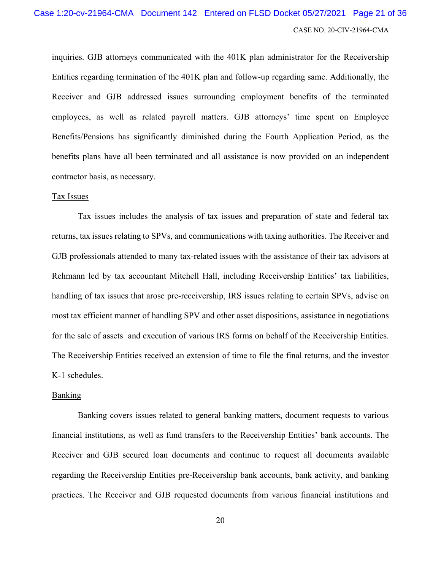# CASE NO. 20-CIV-21964-CMA Case 1:20-cv-21964-CMA Document 142 Entered on FLSD Docket 05/27/2021 Page 21 of 36

inquiries. GJB attorneys communicated with the 401K plan administrator for the Receivership Entities regarding termination of the 401K plan and follow-up regarding same. Additionally, the Receiver and GJB addressed issues surrounding employment benefits of the terminated employees, as well as related payroll matters. GJB attorneys' time spent on Employee Benefits/Pensions has significantly diminished during the Fourth Application Period, as the benefits plans have all been terminated and all assistance is now provided on an independent contractor basis, as necessary.

#### Tax Issues

 Tax issues includes the analysis of tax issues and preparation of state and federal tax returns, tax issues relating to SPVs, and communications with taxing authorities. The Receiver and GJB professionals attended to many tax-related issues with the assistance of their tax advisors at Rehmann led by tax accountant Mitchell Hall, including Receivership Entities' tax liabilities, handling of tax issues that arose pre-receivership, IRS issues relating to certain SPVs, advise on most tax efficient manner of handling SPV and other asset dispositions, assistance in negotiations for the sale of assets and execution of various IRS forms on behalf of the Receivership Entities. The Receivership Entities received an extension of time to file the final returns, and the investor K-1 schedules.

#### Banking

 Banking covers issues related to general banking matters, document requests to various financial institutions, as well as fund transfers to the Receivership Entities' bank accounts. The Receiver and GJB secured loan documents and continue to request all documents available regarding the Receivership Entities pre-Receivership bank accounts, bank activity, and banking practices. The Receiver and GJB requested documents from various financial institutions and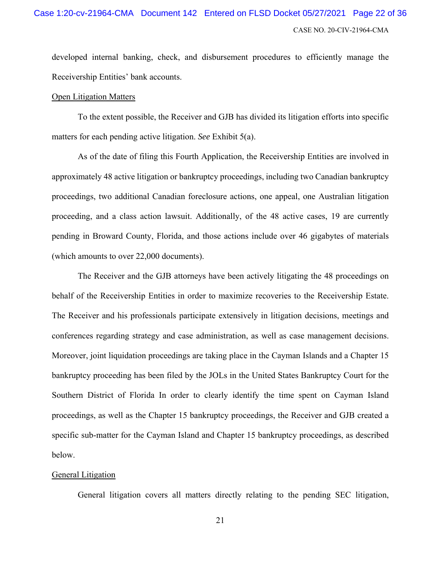# CASE NO. 20-CIV-21964-CMA Case 1:20-cv-21964-CMA Document 142 Entered on FLSD Docket 05/27/2021 Page 22 of 36

developed internal banking, check, and disbursement procedures to efficiently manage the Receivership Entities' bank accounts.

### Open Litigation Matters

 To the extent possible, the Receiver and GJB has divided its litigation efforts into specific matters for each pending active litigation. *See* Exhibit 5(a).

As of the date of filing this Fourth Application, the Receivership Entities are involved in approximately 48 active litigation or bankruptcy proceedings, including two Canadian bankruptcy proceedings, two additional Canadian foreclosure actions, one appeal, one Australian litigation proceeding, and a class action lawsuit. Additionally, of the 48 active cases, 19 are currently pending in Broward County, Florida, and those actions include over 46 gigabytes of materials (which amounts to over 22,000 documents).

 The Receiver and the GJB attorneys have been actively litigating the 48 proceedings on behalf of the Receivership Entities in order to maximize recoveries to the Receivership Estate. The Receiver and his professionals participate extensively in litigation decisions, meetings and conferences regarding strategy and case administration, as well as case management decisions. Moreover, joint liquidation proceedings are taking place in the Cayman Islands and a Chapter 15 bankruptcy proceeding has been filed by the JOLs in the United States Bankruptcy Court for the Southern District of Florida In order to clearly identify the time spent on Cayman Island proceedings, as well as the Chapter 15 bankruptcy proceedings, the Receiver and GJB created a specific sub-matter for the Cayman Island and Chapter 15 bankruptcy proceedings, as described below.

### General Litigation

General litigation covers all matters directly relating to the pending SEC litigation,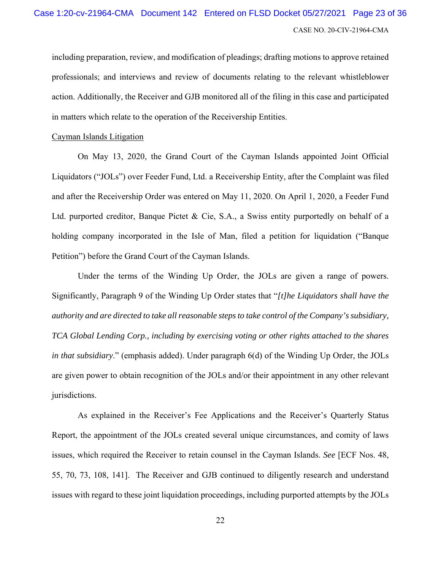# CASE NO. 20-CIV-21964-CMA Case 1:20-cv-21964-CMA Document 142 Entered on FLSD Docket 05/27/2021 Page 23 of 36

including preparation, review, and modification of pleadings; drafting motions to approve retained professionals; and interviews and review of documents relating to the relevant whistleblower action. Additionally, the Receiver and GJB monitored all of the filing in this case and participated in matters which relate to the operation of the Receivership Entities.

### Cayman Islands Litigation

On May 13, 2020, the Grand Court of the Cayman Islands appointed Joint Official Liquidators ("JOLs") over Feeder Fund, Ltd. a Receivership Entity, after the Complaint was filed and after the Receivership Order was entered on May 11, 2020. On April 1, 2020, a Feeder Fund Ltd. purported creditor, Banque Pictet & Cie, S.A., a Swiss entity purportedly on behalf of a holding company incorporated in the Isle of Man, filed a petition for liquidation ("Banque Petition") before the Grand Court of the Cayman Islands.

Under the terms of the Winding Up Order, the JOLs are given a range of powers. Significantly, Paragraph 9 of the Winding Up Order states that "*[t]he Liquidators shall have the authority and are directed to take all reasonable steps to take control of the Company's subsidiary, TCA Global Lending Corp., including by exercising voting or other rights attached to the shares in that subsidiary*." (emphasis added). Under paragraph 6(d) of the Winding Up Order, the JOLs are given power to obtain recognition of the JOLs and/or their appointment in any other relevant jurisdictions.

As explained in the Receiver's Fee Applications and the Receiver's Quarterly Status Report, the appointment of the JOLs created several unique circumstances, and comity of laws issues, which required the Receiver to retain counsel in the Cayman Islands. *See* [ECF Nos. 48, 55, 70, 73, 108, 141]. The Receiver and GJB continued to diligently research and understand issues with regard to these joint liquidation proceedings, including purported attempts by the JOLs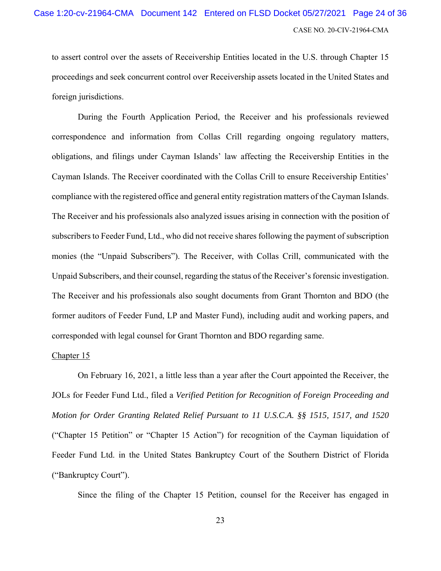# CASE NO. 20-CIV-21964-CMA Case 1:20-cv-21964-CMA Document 142 Entered on FLSD Docket 05/27/2021 Page 24 of 36

to assert control over the assets of Receivership Entities located in the U.S. through Chapter 15 proceedings and seek concurrent control over Receivership assets located in the United States and foreign jurisdictions.

During the Fourth Application Period, the Receiver and his professionals reviewed correspondence and information from Collas Crill regarding ongoing regulatory matters, obligations, and filings under Cayman Islands' law affecting the Receivership Entities in the Cayman Islands. The Receiver coordinated with the Collas Crill to ensure Receivership Entities' compliance with the registered office and general entity registration matters of the Cayman Islands. The Receiver and his professionals also analyzed issues arising in connection with the position of subscribers to Feeder Fund, Ltd., who did not receive shares following the payment of subscription monies (the "Unpaid Subscribers"). The Receiver, with Collas Crill, communicated with the Unpaid Subscribers, and their counsel, regarding the status of the Receiver's forensic investigation. The Receiver and his professionals also sought documents from Grant Thornton and BDO (the former auditors of Feeder Fund, LP and Master Fund), including audit and working papers, and corresponded with legal counsel for Grant Thornton and BDO regarding same.

### Chapter 15

On February 16, 2021, a little less than a year after the Court appointed the Receiver, the JOLs for Feeder Fund Ltd., filed a *Verified Petition for Recognition of Foreign Proceeding and Motion for Order Granting Related Relief Pursuant to 11 U.S.C.A. §§ 1515, 1517, and 1520* ("Chapter 15 Petition" or "Chapter 15 Action") for recognition of the Cayman liquidation of Feeder Fund Ltd. in the United States Bankruptcy Court of the Southern District of Florida ("Bankruptcy Court").

Since the filing of the Chapter 15 Petition, counsel for the Receiver has engaged in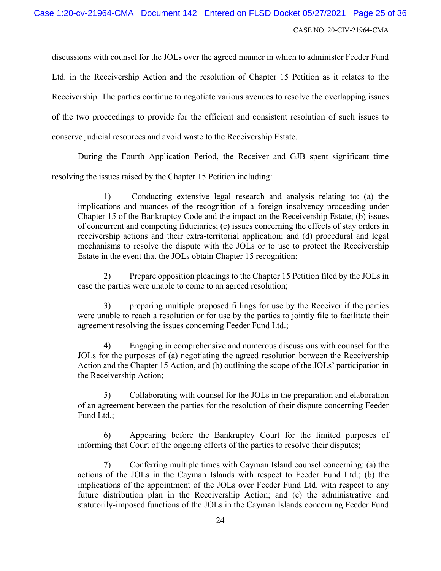# Case 1:20-cv-21964-CMA Document 142 Entered on FLSD Docket 05/27/2021 Page 25 of 36

CASE NO. 20-CIV-21964-CMA

discussions with counsel for the JOLs over the agreed manner in which to administer Feeder Fund Ltd. in the Receivership Action and the resolution of Chapter 15 Petition as it relates to the Receivership. The parties continue to negotiate various avenues to resolve the overlapping issues of the two proceedings to provide for the efficient and consistent resolution of such issues to conserve judicial resources and avoid waste to the Receivership Estate.

During the Fourth Application Period, the Receiver and GJB spent significant time resolving the issues raised by the Chapter 15 Petition including:

1) Conducting extensive legal research and analysis relating to: (a) the implications and nuances of the recognition of a foreign insolvency proceeding under Chapter 15 of the Bankruptcy Code and the impact on the Receivership Estate; (b) issues of concurrent and competing fiduciaries; (c) issues concerning the effects of stay orders in receivership actions and their extra-territorial application; and (d) procedural and legal mechanisms to resolve the dispute with the JOLs or to use to protect the Receivership Estate in the event that the JOLs obtain Chapter 15 recognition;

2) Prepare opposition pleadings to the Chapter 15 Petition filed by the JOLs in case the parties were unable to come to an agreed resolution;

3) preparing multiple proposed fillings for use by the Receiver if the parties were unable to reach a resolution or for use by the parties to jointly file to facilitate their agreement resolving the issues concerning Feeder Fund Ltd.;

4) Engaging in comprehensive and numerous discussions with counsel for the JOLs for the purposes of (a) negotiating the agreed resolution between the Receivership Action and the Chapter 15 Action, and (b) outlining the scope of the JOLs' participation in the Receivership Action;

5) Collaborating with counsel for the JOLs in the preparation and elaboration of an agreement between the parties for the resolution of their dispute concerning Feeder Fund Ltd.;

6) Appearing before the Bankruptcy Court for the limited purposes of informing that Court of the ongoing efforts of the parties to resolve their disputes;

7) Conferring multiple times with Cayman Island counsel concerning: (a) the actions of the JOLs in the Cayman Islands with respect to Feeder Fund Ltd.; (b) the implications of the appointment of the JOLs over Feeder Fund Ltd. with respect to any future distribution plan in the Receivership Action; and (c) the administrative and statutorily-imposed functions of the JOLs in the Cayman Islands concerning Feeder Fund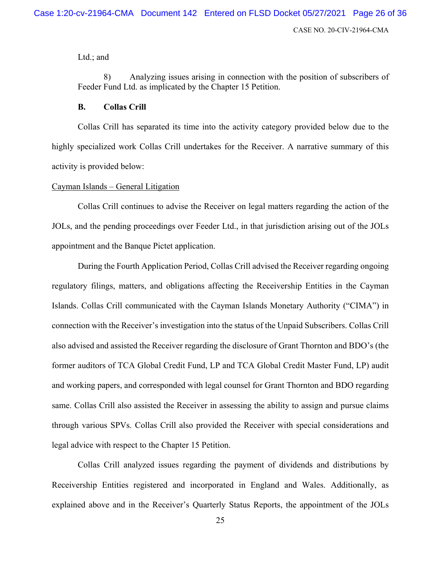Ltd.; and

8) Analyzing issues arising in connection with the position of subscribers of Feeder Fund Ltd. as implicated by the Chapter 15 Petition.

### **B. Collas Crill**

Collas Crill has separated its time into the activity category provided below due to the highly specialized work Collas Crill undertakes for the Receiver. A narrative summary of this activity is provided below:

### Cayman Islands – General Litigation

Collas Crill continues to advise the Receiver on legal matters regarding the action of the JOLs, and the pending proceedings over Feeder Ltd., in that jurisdiction arising out of the JOLs appointment and the Banque Pictet application.

During the Fourth Application Period, Collas Crill advised the Receiver regarding ongoing regulatory filings, matters, and obligations affecting the Receivership Entities in the Cayman Islands. Collas Crill communicated with the Cayman Islands Monetary Authority ("CIMA") in connection with the Receiver's investigation into the status of the Unpaid Subscribers. Collas Crill also advised and assisted the Receiver regarding the disclosure of Grant Thornton and BDO's (the former auditors of TCA Global Credit Fund, LP and TCA Global Credit Master Fund, LP) audit and working papers, and corresponded with legal counsel for Grant Thornton and BDO regarding same. Collas Crill also assisted the Receiver in assessing the ability to assign and pursue claims through various SPVs. Collas Crill also provided the Receiver with special considerations and legal advice with respect to the Chapter 15 Petition.

Collas Crill analyzed issues regarding the payment of dividends and distributions by Receivership Entities registered and incorporated in England and Wales. Additionally, as explained above and in the Receiver's Quarterly Status Reports, the appointment of the JOLs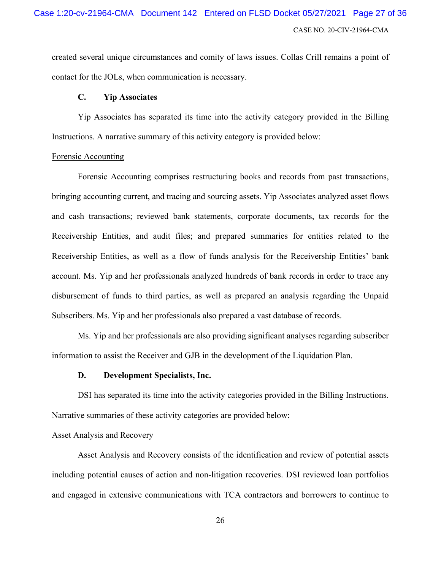# CASE NO. 20-CIV-21964-CMA Case 1:20-cv-21964-CMA Document 142 Entered on FLSD Docket 05/27/2021 Page 27 of 36

created several unique circumstances and comity of laws issues. Collas Crill remains a point of contact for the JOLs, when communication is necessary.

### **C. Yip Associates**

Yip Associates has separated its time into the activity category provided in the Billing Instructions. A narrative summary of this activity category is provided below:

#### Forensic Accounting

Forensic Accounting comprises restructuring books and records from past transactions, bringing accounting current, and tracing and sourcing assets. Yip Associates analyzed asset flows and cash transactions; reviewed bank statements, corporate documents, tax records for the Receivership Entities, and audit files; and prepared summaries for entities related to the Receivership Entities, as well as a flow of funds analysis for the Receivership Entities' bank account. Ms. Yip and her professionals analyzed hundreds of bank records in order to trace any disbursement of funds to third parties, as well as prepared an analysis regarding the Unpaid Subscribers. Ms. Yip and her professionals also prepared a vast database of records.

Ms. Yip and her professionals are also providing significant analyses regarding subscriber information to assist the Receiver and GJB in the development of the Liquidation Plan.

### **D. Development Specialists, Inc.**

DSI has separated its time into the activity categories provided in the Billing Instructions. Narrative summaries of these activity categories are provided below:

#### Asset Analysis and Recovery

Asset Analysis and Recovery consists of the identification and review of potential assets including potential causes of action and non-litigation recoveries. DSI reviewed loan portfolios and engaged in extensive communications with TCA contractors and borrowers to continue to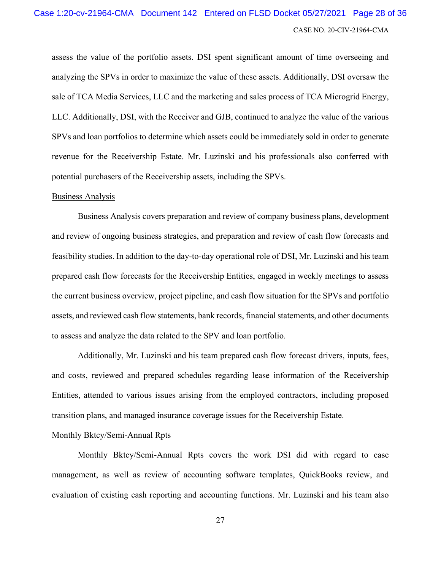# CASE NO. 20-CIV-21964-CMA Case 1:20-cv-21964-CMA Document 142 Entered on FLSD Docket 05/27/2021 Page 28 of 36

assess the value of the portfolio assets. DSI spent significant amount of time overseeing and analyzing the SPVs in order to maximize the value of these assets. Additionally, DSI oversaw the sale of TCA Media Services, LLC and the marketing and sales process of TCA Microgrid Energy, LLC. Additionally, DSI, with the Receiver and GJB, continued to analyze the value of the various SPVs and loan portfolios to determine which assets could be immediately sold in order to generate revenue for the Receivership Estate. Mr. Luzinski and his professionals also conferred with potential purchasers of the Receivership assets, including the SPVs.

#### Business Analysis

 Business Analysis covers preparation and review of company business plans, development and review of ongoing business strategies, and preparation and review of cash flow forecasts and feasibility studies. In addition to the day-to-day operational role of DSI, Mr. Luzinski and his team prepared cash flow forecasts for the Receivership Entities, engaged in weekly meetings to assess the current business overview, project pipeline, and cash flow situation for the SPVs and portfolio assets, and reviewed cash flow statements, bank records, financial statements, and other documents to assess and analyze the data related to the SPV and loan portfolio.

 Additionally, Mr. Luzinski and his team prepared cash flow forecast drivers, inputs, fees, and costs, reviewed and prepared schedules regarding lease information of the Receivership Entities, attended to various issues arising from the employed contractors, including proposed transition plans, and managed insurance coverage issues for the Receivership Estate.

### Monthly Bktcy/Semi-Annual Rpts

Monthly Bktcy/Semi-Annual Rpts covers the work DSI did with regard to case management, as well as review of accounting software templates, QuickBooks review, and evaluation of existing cash reporting and accounting functions. Mr. Luzinski and his team also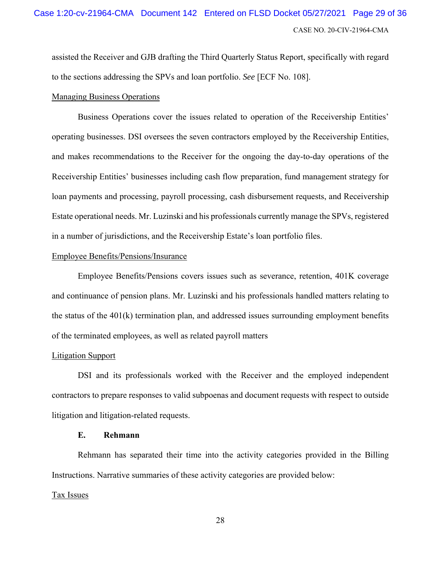assisted the Receiver and GJB drafting the Third Quarterly Status Report, specifically with regard to the sections addressing the SPVs and loan portfolio. *See* [ECF No. 108].

### Managing Business Operations

Business Operations cover the issues related to operation of the Receivership Entities' operating businesses. DSI oversees the seven contractors employed by the Receivership Entities, and makes recommendations to the Receiver for the ongoing the day-to-day operations of the Receivership Entities' businesses including cash flow preparation, fund management strategy for loan payments and processing, payroll processing, cash disbursement requests, and Receivership Estate operational needs. Mr. Luzinski and his professionals currently manage the SPVs, registered in a number of jurisdictions, and the Receivership Estate's loan portfolio files.

#### Employee Benefits/Pensions/Insurance

Employee Benefits/Pensions covers issues such as severance, retention, 401K coverage and continuance of pension plans. Mr. Luzinski and his professionals handled matters relating to the status of the 401(k) termination plan, and addressed issues surrounding employment benefits of the terminated employees, as well as related payroll matters

### Litigation Support

 DSI and its professionals worked with the Receiver and the employed independent contractors to prepare responses to valid subpoenas and document requests with respect to outside litigation and litigation-related requests.

### **E. Rehmann**

Rehmann has separated their time into the activity categories provided in the Billing Instructions. Narrative summaries of these activity categories are provided below:

#### Tax Issues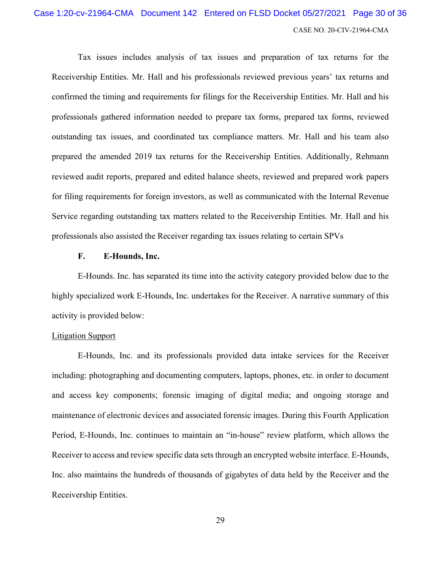# CASE NO. 20-CIV-21964-CMA Case 1:20-cv-21964-CMA Document 142 Entered on FLSD Docket 05/27/2021 Page 30 of 36

 Tax issues includes analysis of tax issues and preparation of tax returns for the Receivership Entities. Mr. Hall and his professionals reviewed previous years' tax returns and confirmed the timing and requirements for filings for the Receivership Entities. Mr. Hall and his professionals gathered information needed to prepare tax forms, prepared tax forms, reviewed outstanding tax issues, and coordinated tax compliance matters. Mr. Hall and his team also prepared the amended 2019 tax returns for the Receivership Entities. Additionally, Rehmann reviewed audit reports, prepared and edited balance sheets, reviewed and prepared work papers for filing requirements for foreign investors, as well as communicated with the Internal Revenue Service regarding outstanding tax matters related to the Receivership Entities. Mr. Hall and his professionals also assisted the Receiver regarding tax issues relating to certain SPVs

### **F. E-Hounds, Inc.**

E-Hounds. Inc. has separated its time into the activity category provided below due to the highly specialized work E-Hounds, Inc. undertakes for the Receiver. A narrative summary of this activity is provided below:

### Litigation Support

E-Hounds, Inc. and its professionals provided data intake services for the Receiver including: photographing and documenting computers, laptops, phones, etc. in order to document and access key components; forensic imaging of digital media; and ongoing storage and maintenance of electronic devices and associated forensic images. During this Fourth Application Period, E-Hounds, Inc. continues to maintain an "in-house" review platform, which allows the Receiver to access and review specific data sets through an encrypted website interface. E-Hounds, Inc. also maintains the hundreds of thousands of gigabytes of data held by the Receiver and the Receivership Entities.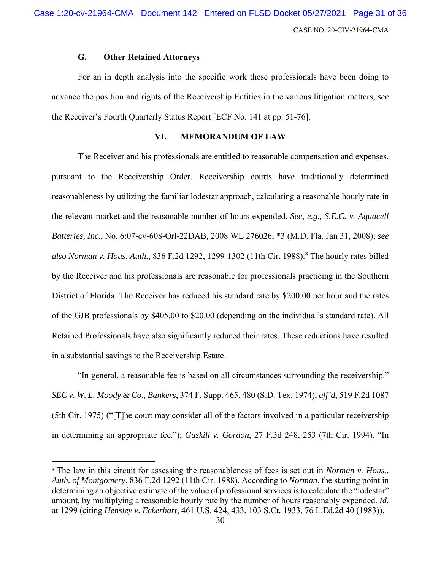## **G. Other Retained Attorneys**

 $\overline{a}$ 

For an in depth analysis into the specific work these professionals have been doing to advance the position and rights of the Receivership Entities in the various litigation matters, *see* the Receiver's Fourth Quarterly Status Report [ECF No. 141 at pp. 51-76].

### **VI. MEMORANDUM OF LAW**

The Receiver and his professionals are entitled to reasonable compensation and expenses, pursuant to the Receivership Order. Receivership courts have traditionally determined reasonableness by utilizing the familiar lodestar approach, calculating a reasonable hourly rate in the relevant market and the reasonable number of hours expended. *See, e.g., S.E.C. v. Aquacell Batteries, Inc.*, No. 6:07-cv-608-Orl-22DAB, 2008 WL 276026, \*3 (M.D. Fla. Jan 31, 2008); *see*  also Norman v. Hous. Auth., 836 F.2d 1292, 1299-1302 (11th Cir. 1988).<sup>8</sup> The hourly rates billed by the Receiver and his professionals are reasonable for professionals practicing in the Southern District of Florida. The Receiver has reduced his standard rate by \$200.00 per hour and the rates of the GJB professionals by \$405.00 to \$20.00 (depending on the individual's standard rate). All Retained Professionals have also significantly reduced their rates. These reductions have resulted in a substantial savings to the Receivership Estate.

"In general, a reasonable fee is based on all circumstances surrounding the receivership." *SEC v. W. L. Moody & Co., Bankers*, 374 F. Supp. 465, 480 (S.D. Tex. 1974), *aff'd*, 519 F.2d 1087 (5th Cir. 1975) ("[T]he court may consider all of the factors involved in a particular receivership in determining an appropriate fee."); *Gaskill v. Gordon*, 27 F.3d 248, 253 (7th Cir. 1994). "In

<sup>8</sup> The law in this circuit for assessing the reasonableness of fees is set out in *Norman v. Hous., Auth. of Montgomery*, 836 F.2d 1292 (11th Cir. 1988). According to *Norman*, the starting point in determining an objective estimate of the value of professional services is to calculate the "lodestar" amount, by multiplying a reasonable hourly rate by the number of hours reasonably expended. *Id*. at 1299 (citing *Hensley v. Eckerhart*, 461 U.S. 424, 433, 103 S.Ct. 1933, 76 L.Ed.2d 40 (1983)).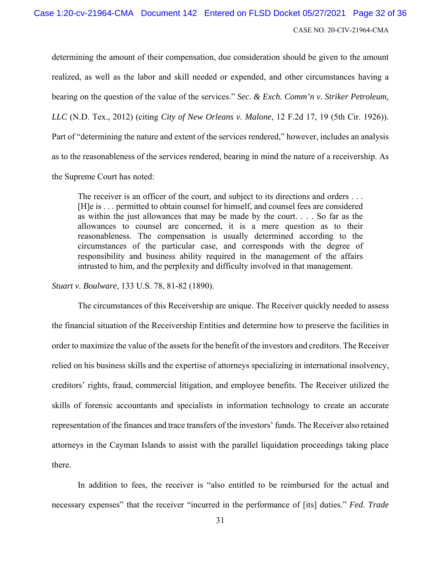# Case 1:20-cv-21964-CMA Document 142 Entered on FLSD Docket 05/27/2021 Page 32 of 36

CASE NO. 20-CIV-21964-CMA

determining the amount of their compensation, due consideration should be given to the amount realized, as well as the labor and skill needed or expended, and other circumstances having a bearing on the question of the value of the services." *Sec. & Exch. Comm'n v. Striker Petroleum, LLC* (N.D. Tex., 2012) (citing *City of New Orleans v. Malone*, 12 F.2d 17, 19 (5th Cir. 1926)). Part of "determining the nature and extent of the services rendered," however, includes an analysis as to the reasonableness of the services rendered, bearing in mind the nature of a receivership. As the Supreme Court has noted:

The receiver is an officer of the court, and subject to its directions and orders . . . [H]e is . . . permitted to obtain counsel for himself, and counsel fees are considered as within the just allowances that may be made by the court. . . . So far as the allowances to counsel are concerned, it is a mere question as to their reasonableness. The compensation is usually determined according to the circumstances of the particular case, and corresponds with the degree of responsibility and business ability required in the management of the affairs intrusted to him, and the perplexity and difficulty involved in that management.

*Stuart v. Boulware*, 133 U.S. 78, 81-82 (1890).

The circumstances of this Receivership are unique. The Receiver quickly needed to assess the financial situation of the Receivership Entities and determine how to preserve the facilities in order to maximize the value of the assets for the benefit of the investors and creditors. The Receiver relied on his business skills and the expertise of attorneys specializing in international insolvency, creditors' rights, fraud, commercial litigation, and employee benefits. The Receiver utilized the skills of forensic accountants and specialists in information technology to create an accurate representation of the finances and trace transfers of the investors' funds. The Receiver also retained attorneys in the Cayman Islands to assist with the parallel liquidation proceedings taking place there.

In addition to fees, the receiver is "also entitled to be reimbursed for the actual and necessary expenses" that the receiver "incurred in the performance of [its] duties." *Fed. Trade*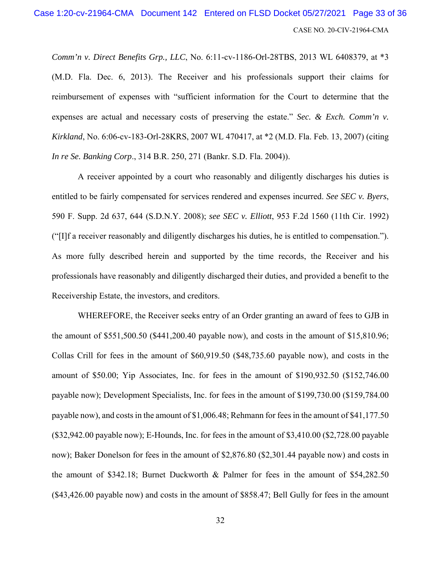# CASE NO. 20-CIV-21964-CMA Case 1:20-cv-21964-CMA Document 142 Entered on FLSD Docket 05/27/2021 Page 33 of 36

*Comm'n v. Direct Benefits Grp., LLC*, No. 6:11-cv-1186-Orl-28TBS, 2013 WL 6408379, at \*3 (M.D. Fla. Dec. 6, 2013). The Receiver and his professionals support their claims for reimbursement of expenses with "sufficient information for the Court to determine that the expenses are actual and necessary costs of preserving the estate." *Sec. & Exch. Comm'n v. Kirkland*, No. 6:06-cv-183-Orl-28KRS, 2007 WL 470417, at \*2 (M.D. Fla. Feb. 13, 2007) (citing *In re Se. Banking Corp*., 314 B.R. 250, 271 (Bankr. S.D. Fla. 2004)).

A receiver appointed by a court who reasonably and diligently discharges his duties is entitled to be fairly compensated for services rendered and expenses incurred. *See SEC v. Byers*, 590 F. Supp. 2d 637, 644 (S.D.N.Y. 2008); *see SEC v. Elliott*, 953 F.2d 1560 (11th Cir. 1992) ("[I]f a receiver reasonably and diligently discharges his duties, he is entitled to compensation."). As more fully described herein and supported by the time records, the Receiver and his professionals have reasonably and diligently discharged their duties, and provided a benefit to the Receivership Estate, the investors, and creditors.

WHEREFORE, the Receiver seeks entry of an Order granting an award of fees to GJB in the amount of \$551,500.50 (\$441,200.40 payable now), and costs in the amount of \$15,810.96; Collas Crill for fees in the amount of \$60,919.50 (\$48,735.60 payable now), and costs in the amount of \$50.00; Yip Associates, Inc. for fees in the amount of \$190,932.50 (\$152,746.00 payable now); Development Specialists, Inc. for fees in the amount of \$199,730.00 (\$159,784.00 payable now), and costs in the amount of \$1,006.48; Rehmann for fees in the amount of \$41,177.50 (\$32,942.00 payable now); E-Hounds, Inc. for fees in the amount of \$3,410.00 (\$2,728.00 payable now); Baker Donelson for fees in the amount of \$2,876.80 (\$2,301.44 payable now) and costs in the amount of \$342.18; Burnet Duckworth & Palmer for fees in the amount of \$54,282.50 (\$43,426.00 payable now) and costs in the amount of \$858.47; Bell Gully for fees in the amount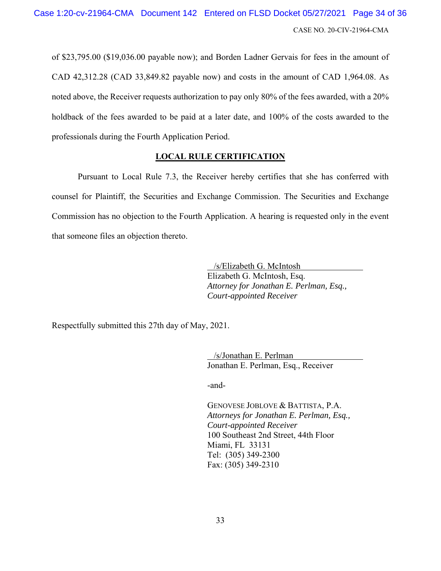CASE NO. 20-CIV-21964-CMA Case 1:20-cv-21964-CMA Document 142 Entered on FLSD Docket 05/27/2021 Page 34 of 36

of \$23,795.00 (\$19,036.00 payable now); and Borden Ladner Gervais for fees in the amount of CAD 42,312.28 (CAD 33,849.82 payable now) and costs in the amount of CAD 1,964.08. As noted above, the Receiver requests authorization to pay only 80% of the fees awarded, with a 20% holdback of the fees awarded to be paid at a later date, and 100% of the costs awarded to the professionals during the Fourth Application Period.

### **LOCAL RULE CERTIFICATION**

Pursuant to Local Rule 7.3, the Receiver hereby certifies that she has conferred with counsel for Plaintiff, the Securities and Exchange Commission. The Securities and Exchange Commission has no objection to the Fourth Application. A hearing is requested only in the event that someone files an objection thereto.

> /s/Elizabeth G. McIntosh Elizabeth G. McIntosh, Esq. *Attorney for Jonathan E. Perlman, Esq., Court-appointed Receiver*

Respectfully submitted this 27th day of May, 2021.

 /s/Jonathan E. Perlman Jonathan E. Perlman, Esq., Receiver

-and-

GENOVESE JOBLOVE & BATTISTA, P.A. *Attorneys for Jonathan E. Perlman, Esq., Court-appointed Receiver*  100 Southeast 2nd Street, 44th Floor Miami, FL 33131 Tel: (305) 349-2300 Fax: (305) 349-2310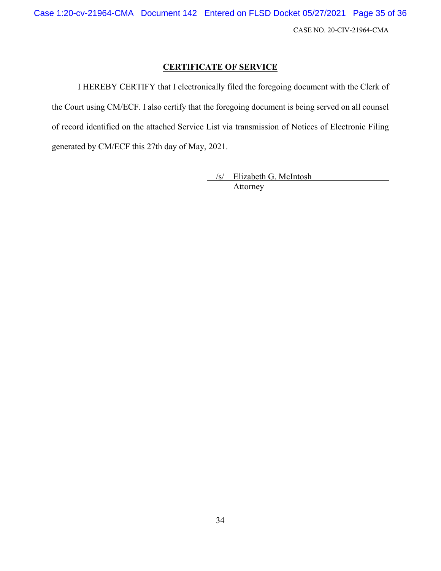### **CERTIFICATE OF SERVICE**

I HEREBY CERTIFY that I electronically filed the foregoing document with the Clerk of the Court using CM/ECF. I also certify that the foregoing document is being served on all counsel of record identified on the attached Service List via transmission of Notices of Electronic Filing generated by CM/ECF this 27th day of May, 2021.

> /s/ Elizabeth G. McIntosh\_\_\_\_\_ Attorney